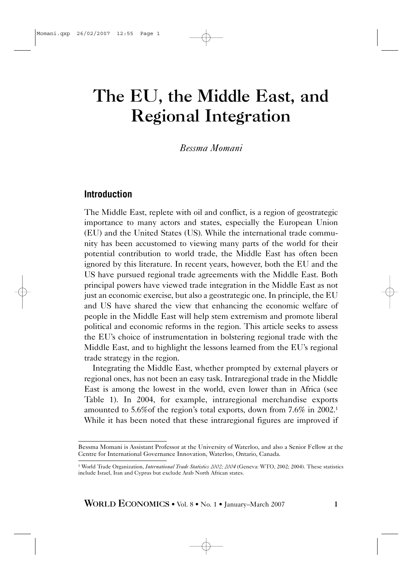# The EU, the Middle East, and Regional Integration

*Bessma Momani*

## **Introduction**

The Middle East, replete with oil and conflict, is a region of geostrategic importance to many actors and states, especially the European Union (EU) and the United States (US). While the international trade community has been accustomed to viewing many parts of the world for their potential contribution to world trade, the Middle East has often been ignored by this literature. In recent years, however, both the EU and the US have pursued regional trade agreements with the Middle East. Both principal powers have viewed trade integration in the Middle East as not just an economic exercise, but also a geostrategic one. In principle, the EU and US have shared the view that enhancing the economic welfare of people in the Middle East will help stem extremism and promote liberal political and economic reforms in the region. This article seeks to assess the EU's choice of instrumentation in bolstering regional trade with the Middle East, and to highlight the lessons learned from the EU's regional trade strategy in the region.

Integrating the Middle East, whether prompted by external players or regional ones, has not been an easy task. Intraregional trade in the Middle East is among the lowest in the world, even lower than in Africa (see Table 1). In 2004, for example, intraregional merchandise exports amounted to 5.6%of the region's total exports, down from 7.6% in 2002.1 While it has been noted that these intraregional figures are improved if

WORLD ECONOMICS • Vol. 8 • No. 1 • January–March 2007 1

Bessma Momani is Assistant Professor at the University of Waterloo, and also a Senior Fellow at the Centre for International Governance Innovation, Waterloo, Ontario, Canada.

<sup>&</sup>lt;sup>1</sup> World Trade Organization, *International Trade Statistics 2002; 2004* (Geneva: WTO, 2002; 2004). These statistics include Israel, Iran and Cyprus but exclude Arab North African states.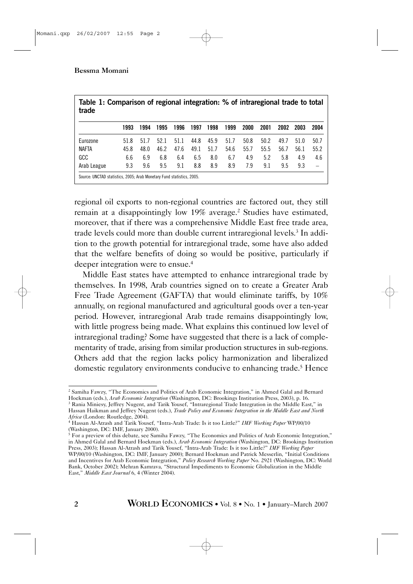| Table 1: Comparison of regional integration: % of intraregional trade to total<br>trade |      |      |      |      |      |      |      |      |      |      |      |                          |
|-----------------------------------------------------------------------------------------|------|------|------|------|------|------|------|------|------|------|------|--------------------------|
|                                                                                         | 1993 | 1994 | 1995 | 1996 | 1997 | 1998 | 1999 | 2000 | 2001 | 2002 | 2003 | 2004                     |
| Eurozone                                                                                | 51.8 | 51.7 | 52.1 | 51.1 | 44.8 | 45.9 | 51.7 | 50.8 | 50.2 | 49.7 | 51.0 | 50.7                     |
| <b>NAFTA</b>                                                                            | 45.8 | 48.0 | 46.2 | 47.6 | 49.1 | 51.7 | 54.6 | 55.7 | 55.5 | 56.7 | 56.1 | 55.2                     |
| GCC                                                                                     | 6.6  | 6.9  | 6.8  | 6.4  | 6.5  | 8.0  | 6.7  | 4.9  | 5.2  | 5.8  | 4.9  | 4.6                      |
| Arab League                                                                             | 9.3  | 9.6  | 9.5  | 9.1  | 8.8  | 8.9  | 8.9  | 7.9  | 9.1  | 9.5  | 9.3  | $\overline{\phantom{0}}$ |
| Source: UNCTAD statistics, 2005; Arab Monetary Fund statistics, 2005.                   |      |      |      |      |      |      |      |      |      |      |      |                          |

regional oil exports to non-regional countries are factored out, they still remain at a disappointingly low 19% average.2 Studies have estimated, moreover, that if there was a comprehensive Middle East free trade area, trade levels could more than double current intraregional levels.3 In addition to the growth potential for intraregional trade, some have also added that the welfare benefits of doing so would be positive, particularly if deeper integration were to ensue.<sup>4</sup>

Middle East states have attempted to enhance intraregional trade by themselves. In 1998, Arab countries signed on to create a Greater Arab Free Trade Agreement (GAFTA) that would eliminate tariffs, by 10% annually, on regional manufactured and agricultural goods over a ten-year period. However, intraregional Arab trade remains disappointingly low, with little progress being made. What explains this continued low level of intraregional trading? Some have suggested that there is a lack of complementarity of trade, arising from similar production structures in sub-regions. Others add that the region lacks policy harmonization and liberalized domestic regulatory environments conducive to enhancing trade.5 Hence

<sup>2</sup> Samiha Fawzy, "The Economics and Politics of Arab Economic Integration," in Ahmed Galal and Bernard Hoekman (eds.), *Arab Economic Integration* (Washington, DC: Brookings Institution Press, 2003), p. 16.

<sup>&</sup>lt;sup>3</sup> Rania Miniesy, Jeffrey Nugent, and Tarik Yousef, "Intraregional Trade Integration in the Middle East," in Hassan Haikman and Jeffrey Nugent (eds.), *Trade Policy and Economic Integration in the Middle East and North Africa* (London: Routledge, 2004).

<sup>4</sup> Hassan Al-Atrash and Tarik Yousef, "Intra-Arab Trade: Is it too Little?" *IMF Working Paper* WP/00/10 (Washington, DC: IMF, January 2000).

<sup>5</sup> For a preview of this debate, see Samiha Fawzy, "The Economics and Politics of Arab Economic Integration," in Ahmed Galal and Bernard Hoekman (eds.), *Arab Economic Integration* (Washington, DC: Brookings Institution Press, 2003); Hassan Al-Atrash and Tarik Yousef, "Intra-Arab Trade: Is it too Little?" *IMF Working Paper* WP/00/10 (Washington, DC: IMF, January 2000); Bernard Hoekman and Patrick Messerlin, "Initial Conditions and Incentives for Arab Economic Integration," *Policy Research Working Paper* No. 2921 (Washington, DC: World Bank, October 2002); Mehran Kamrava, "Structural Impediments to Economic Globalization in the Middle East," *Middle East Journal* 6, 4 (Winter 2004).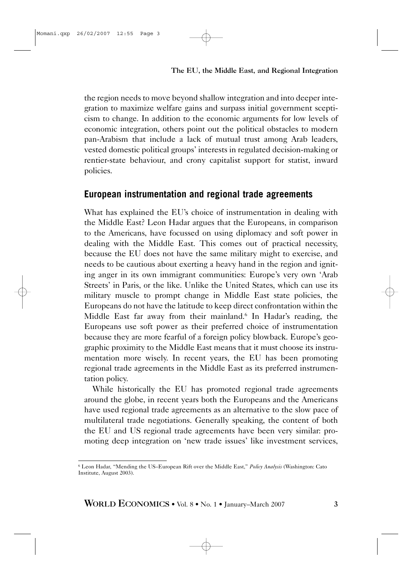The EU, the Middle East, and Regional Integration

the region needs to move beyond shallow integration and into deeper integration to maximize welfare gains and surpass initial government scepticism to change. In addition to the economic arguments for low levels of economic integration, others point out the political obstacles to modern pan-Arabism that include a lack of mutual trust among Arab leaders, vested domestic political groups' interests in regulated decision-making or rentier-state behaviour, and crony capitalist support for statist, inward policies.

## **European instrumentation and regional trade agreements**

What has explained the EU's choice of instrumentation in dealing with the Middle East? Leon Hadar argues that the Europeans, in comparison to the Americans, have focussed on using diplomacy and soft power in dealing with the Middle East. This comes out of practical necessity, because the EU does not have the same military might to exercise, and needs to be cautious about exerting a heavy hand in the region and igniting anger in its own immigrant communities: Europe's very own 'Arab Streets' in Paris, or the like. Unlike the United States, which can use its military muscle to prompt change in Middle East state policies, the Europeans do not have the latitude to keep direct confrontation within the Middle East far away from their mainland.<sup>6</sup> In Hadar's reading, the Europeans use soft power as their preferred choice of instrumentation because they are more fearful of a foreign policy blowback. Europe's geographic proximity to the Middle East means that it must choose its instrumentation more wisely. In recent years, the EU has been promoting regional trade agreements in the Middle East as its preferred instrumentation policy.

While historically the EU has promoted regional trade agreements around the globe, in recent years both the Europeans and the Americans have used regional trade agreements as an alternative to the slow pace of multilateral trade negotiations. Generally speaking, the content of both the EU and US regional trade agreements have been very similar: promoting deep integration on 'new trade issues' like investment services,

WORLD ECONOMICS • Vol. 8 • No. 1 • January–March 2007 3

<sup>6</sup> Leon Hadar, "Mending the US–European Rift over the Middle East," *Policy Analysis* (Washington: Cato Institute, August 2003).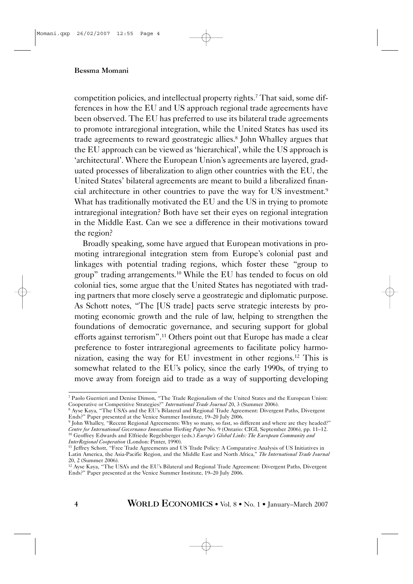competition policies, and intellectual property rights.7 That said, some differences in how the EU and US approach regional trade agreements have been observed. The EU has preferred to use its bilateral trade agreements to promote intraregional integration, while the United States has used its trade agreements to reward geostrategic allies.8 John Whalley argues that the EU approach can be viewed as 'hierarchical', while the US approach is 'architectural'. Where the European Union's agreements are layered, graduated processes of liberalization to align other countries with the EU, the United States' bilateral agreements are meant to build a liberalized financial architecture in other countries to pave the way for US investment.9 What has traditionally motivated the EU and the US in trying to promote intraregional integration? Both have set their eyes on regional integration in the Middle East. Can we see a difference in their motivations toward the region?

Broadly speaking, some have argued that European motivations in promoting intraregional integration stem from Europe's colonial past and linkages with potential trading regions, which foster these "group to group" trading arrangements.10 While the EU has tended to focus on old colonial ties, some argue that the United States has negotiated with trading partners that more closely serve a geostrategic and diplomatic purpose. As Schott notes, "The [US trade] pacts serve strategic interests by promoting economic growth and the rule of law, helping to strengthen the foundations of democratic governance, and securing support for global efforts against terrorism".11 Others point out that Europe has made a clear preference to foster intraregional agreements to facilitate policy harmonization, easing the way for EU investment in other regions.12 This is somewhat related to the EU's policy, since the early 1990s, of trying to move away from foreign aid to trade as a way of supporting developing

<sup>7</sup> Paolo Guerrieri and Denise Dimon, "The Trade Regionalism of the United States and the European Union: Cooperative or Competitive Strategies?" *International Trade Journal* 20, 3 (Summer 2006).

<sup>8</sup> Ayse Kaya, "The USA's and the EU's Bilateral and Regional Trade Agreement: Divergent Paths, Divergent Ends?" Paper presented at the Venice Summer Institute, 19–20 July 2006.

<sup>9</sup> John Whalley, "Recent Regional Agreements: Why so many, so fast, so different and where are they headed?" *Centre for International Governance Innovation Working Paper* No. 9 (Ontario: CIGI, September 2006), pp. 11–12. <sup>10</sup> Geoffrey Edwards and Elfriede Regelsberger (eds.) *Europe's Global Links: The European Community and InterRegional Cooperation* (London: Pinter, 1990).

<sup>&</sup>lt;sup>11</sup> Jeffrey Schott, "Free Trade Agreements and US Trade Policy: A Comparative Analysis of US Initiatives in Latin America, the Asia-Pacific Region, and the Middle East and North Africa," *The International Trade Journal* 20, 2 (Summer 2006).

<sup>12</sup> Ayse Kaya, "The USA's and the EU's Bilateral and Regional Trade Agreement: Divergent Paths, Divergent Ends?" Paper presented at the Venice Summer Institute, 19–20 July 2006.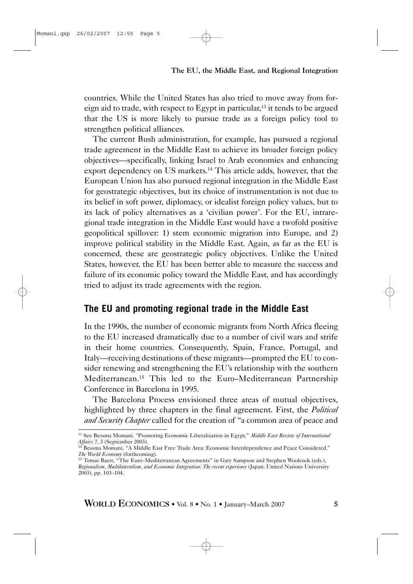## The EU, the Middle East, and Regional Integration

countries. While the United States has also tried to move away from foreign aid to trade, with respect to Egypt in particular,13 it tends to be argued that the US is more likely to pursue trade as a foreign policy tool to strengthen political alliances.

The current Bush administration, for example, has pursued a regional trade agreement in the Middle East to achieve its broader foreign policy objectives—specifically, linking Israel to Arab economies and enhancing export dependency on US markets.14 This article adds, however, that the European Union has also pursued regional integration in the Middle East for geostrategic objectives, but its choice of instrumentation is not due to its belief in soft power, diplomacy, or idealist foreign policy values, but to its lack of policy alternatives as a 'civilian power'. For the EU, intraregional trade integration in the Middle East would have a twofold positive geopolitical spillover: 1) stem economic migration into Europe, and 2) improve political stability in the Middle East. Again, as far as the EU is concerned, these are geostrategic policy objectives. Unlike the United States, however, the EU has been better able to measure the success and failure of its economic policy toward the Middle East, and has accordingly tried to adjust its trade agreements with the region.

## **The EU and promoting regional trade in the Middle East**

In the 1990s, the number of economic migrants from North Africa fleeing to the EU increased dramatically due to a number of civil wars and strife in their home countries. Consequently, Spain, France, Portugal, and Italy—receiving destinations of these migrants—prompted the EU to consider renewing and strengthening the EU's relationship with the southern Mediterranean.15 This led to the Euro–Mediterranean Partnership Conference in Barcelona in 1995.

The Barcelona Process envisioned three areas of mutual objectives, highlighted by three chapters in the final agreement. First, the *Political and Security Chapter* called for the creation of "a common area of peace and

<sup>13</sup> See Bessma Momani, "Promoting Economic Liberalization in Egypt," *Middle East Review of International Affairs* 7, 3 (September 2003).<br><sup>14</sup> Bessma Momani, "A Middle East Free Trade Area: Economic Interdependence and Peace Considered,"

*The World Economy* (forthcoming).

<sup>&</sup>lt;sup>15</sup> Tomas Baert, "The Euro-Mediterranean Agreements" in Gary Sampson and Stephen Woolcock (eds.), *Regionalism, Multilateralism, and Economic Integration: The recent experience* (Japan: United Nations University 2003), pp. 103–104.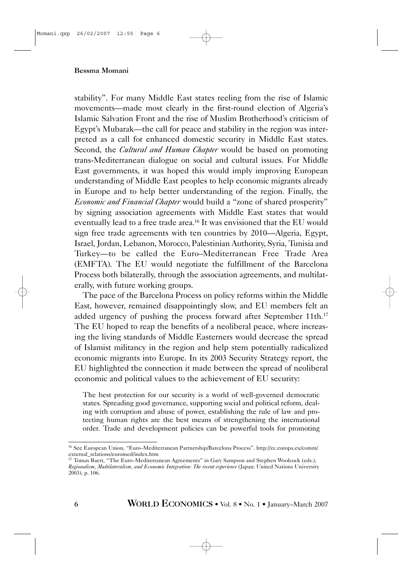stability". For many Middle East states reeling from the rise of Islamic movements—made most clearly in the first-round election of Algeria's Islamic Salvation Front and the rise of Muslim Brotherhood's criticism of Egypt's Mubarak—the call for peace and stability in the region was interpreted as a call for enhanced domestic security in Middle East states. Second, the *Cultural and Human Chapter* would be based on promoting trans-Mediterranean dialogue on social and cultural issues. For Middle East governments, it was hoped this would imply improving European understanding of Middle East peoples to help economic migrants already in Europe and to help better understanding of the region. Finally, the *Economic and Financial Chapter* would build a "zone of shared prosperity" by signing association agreements with Middle East states that would eventually lead to a free trade area.<sup>16</sup> It was envisioned that the EU would sign free trade agreements with ten countries by 2010—Algeria, Egypt, Israel, Jordan, Lebanon, Morocco, Palestinian Authority, Syria, Tunisia and Turkey—to be called the Euro–Mediterranean Free Trade Area (EMFTA). The EU would negotiate the fulfillment of the Barcelona Process both bilaterally, through the association agreements, and multilaterally, with future working groups.

The pace of the Barcelona Process on policy reforms within the Middle East, however, remained disappointingly slow, and EU members felt an added urgency of pushing the process forward after September 11th.<sup>17</sup> The EU hoped to reap the benefits of a neoliberal peace, where increasing the living standards of Middle Easterners would decrease the spread of Islamist militancy in the region and help stem potentially radicalized economic migrants into Europe. In its 2003 Security Strategy report, the EU highlighted the connection it made between the spread of neoliberal economic and political values to the achievement of EU security:

The best protection for our security is a world of well-governed democratic states. Spreading good governance, supporting social and political reform, dealing with corruption and abuse of power, establishing the rule of law and protecting human rights are the best means of strengthening the international order. Trade and development policies can be powerful tools for promoting

<sup>16</sup> See European Union, "Euro–Mediterranean Partnership/Barcelona Process". http://ec.europa.eu/comm/ external\_relations/euromed/index.htm

<sup>17</sup> Tomas Baert, "The Euro–Mediterranean Agreements" in Gary Sampson and Stephen Woolcock (eds.), *Regionalism, Multilateralism, and Economic Integration: The recent experience* (Japan: United Nations University 2003), p. 106.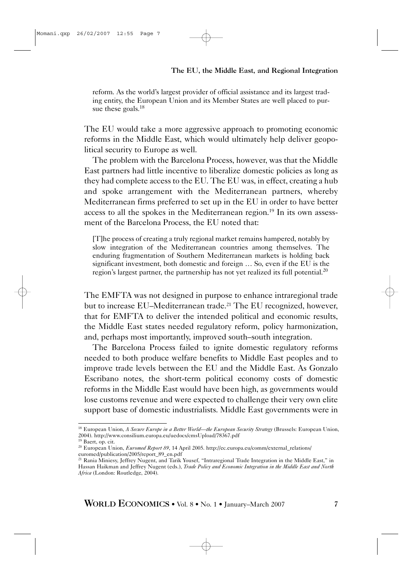reform. As the world's largest provider of official assistance and its largest trading entity, the European Union and its Member States are well placed to pursue these goals.<sup>18</sup>

The EU would take a more aggressive approach to promoting economic reforms in the Middle East, which would ultimately help deliver geopolitical security to Europe as well.

The problem with the Barcelona Process, however, was that the Middle East partners had little incentive to liberalize domestic policies as long as they had complete access to the EU. The EU was, in effect, creating a hub and spoke arrangement with the Mediterranean partners, whereby Mediterranean firms preferred to set up in the EU in order to have better access to all the spokes in the Mediterranean region.19 In its own assessment of the Barcelona Process, the EU noted that:

[T]he process of creating a truly regional market remains hampered, notably by slow integration of the Mediterranean countries among themselves. The enduring fragmentation of Southern Mediterranean markets is holding back significant investment, both domestic and foreign … So, even if the EU is the region's largest partner, the partnership has not yet realized its full potential.<sup>20</sup>

The EMFTA was not designed in purpose to enhance intraregional trade but to increase EU–Mediterranean trade.<sup>21</sup> The EU recognized, however, that for EMFTA to deliver the intended political and economic results, the Middle East states needed regulatory reform, policy harmonization, and, perhaps most importantly, improved south–south integration.

The Barcelona Process failed to ignite domestic regulatory reforms needed to both produce welfare benefits to Middle East peoples and to improve trade levels between the EU and the Middle East. As Gonzalo Escribano notes, the short-term political economy costs of domestic reforms in the Middle East would have been high, as governments would lose customs revenue and were expected to challenge their very own elite support base of domestic industrialists. Middle East governments were in

<sup>18</sup> European Union, *A Secure Europe in a Better World—the European Security Strategy* (Brussels: European Union, 2004). http://www.consilium.europa.eu/uedocs/cmsUpload/78367.pdf

<sup>19</sup> Baert, op. cit.

<sup>20</sup> European Union, *Euromed Report 89*, 14 April 2005. http://ec.europa.eu/comm/external\_relations/ euromed/publication/2005/report\_89\_en.pdf

<sup>21</sup> Rania Miniesy, Jeffrey Nugent, and Tarik Yousef, "Intraregional Trade Integration in the Middle East," in Hassan Haikman and Jeffrey Nugent (eds.), *Trade Policy and Economic Integration in the Middle East and North Africa* (London: Routledge, 2004).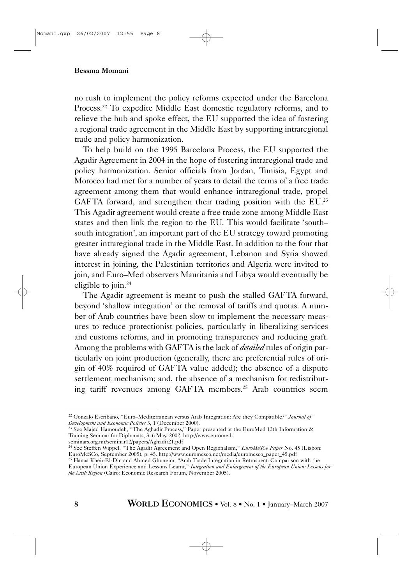no rush to implement the policy reforms expected under the Barcelona Process.<sup>22</sup> To expedite Middle East domestic regulatory reforms, and to relieve the hub and spoke effect, the EU supported the idea of fostering a regional trade agreement in the Middle East by supporting intraregional trade and policy harmonization.

To help build on the 1995 Barcelona Process, the EU supported the Agadir Agreement in 2004 in the hope of fostering intraregional trade and policy harmonization. Senior officials from Jordan, Tunisia, Egypt and Morocco had met for a number of years to detail the terms of a free trade agreement among them that would enhance intraregional trade, propel GAFTA forward, and strengthen their trading position with the EU.<sup>23</sup> This Agadir agreement would create a free trade zone among Middle East states and then link the region to the EU. This would facilitate 'south– south integration', an important part of the EU strategy toward promoting greater intraregional trade in the Middle East. In addition to the four that have already signed the Agadir agreement, Lebanon and Syria showed interest in joining, the Palestinian territories and Algeria were invited to join, and Euro–Med observers Mauritania and Libya would eventually be eligible to join.<sup>24</sup>

The Agadir agreement is meant to push the stalled GAFTA forward, beyond 'shallow integration' or the removal of tariffs and quotas. A number of Arab countries have been slow to implement the necessary measures to reduce protectionist policies, particularly in liberalizing services and customs reforms, and in promoting transparency and reducing graft. Among the problems with GAFTA is the lack of *detailed* rules of origin particularly on joint production (generally, there are preferential rules of origin of 40% required of GAFTA value added); the absence of a dispute settlement mechanism; and, the absence of a mechanism for redistributing tariff revenues among GAFTA members.25 Arab countries seem

<sup>22</sup> Gonzalo Escribano, "Euro–Mediterranean versus Arab Integration: Are they Compatible?" *Journal of Development and Economic Policies* 3, 1 (December 2000).

<sup>&</sup>lt;sup>23</sup> See Majed Hamoudeh, "The Aghadir Process," Paper presented at the EuroMed 12th Information & Training Seminar for Diplomats, 3–6 May, 2002. http://www.euromed-

seminars.org.mt/seminar12/papers/Aghadir21.pdf

<sup>24</sup> See Steffen Wippel, "The Agadir Agreement and Open Regionalism," *EuroMeSCo Paper* No. 45 (Lisbon: EuroMeSCo, September 2005), p. 45. http://www.euromesco.net/media/euromesco\_paper\_45.pdf

<sup>25</sup> Hanaa Kheir-El-Din and Ahmed Ghoneim, "Arab Trade Integration in Retrospect: Comparison with the European Union Experience and Lessons Learnt," *Integration and Enlargement of the European Union: Lessons for the Arab Region* (Cairo: Economic Research Forum, November 2005).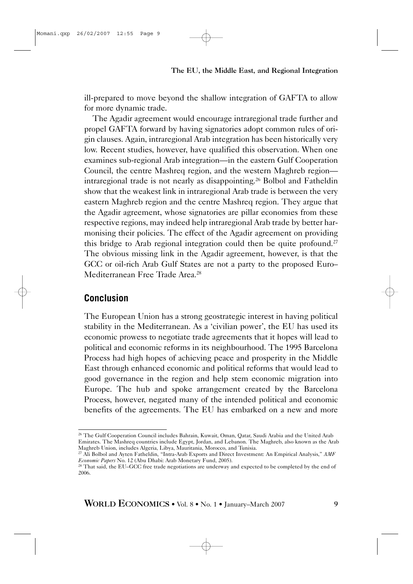ill-prepared to move beyond the shallow integration of GAFTA to allow for more dynamic trade.

The Agadir agreement would encourage intraregional trade further and propel GAFTA forward by having signatories adopt common rules of origin clauses. Again, intraregional Arab integration has been historically very low. Recent studies, however, have qualified this observation. When one examines sub-regional Arab integration—in the eastern Gulf Cooperation Council, the centre Mashreq region, and the western Maghreb region intraregional trade is not nearly as disappointing.26 Bolbol and Fatheldin show that the weakest link in intraregional Arab trade is between the very eastern Maghreb region and the centre Mashreq region. They argue that the Agadir agreement, whose signatories are pillar economies from these respective regions, may indeed help intraregional Arab trade by better harmonising their policies. The effect of the Agadir agreement on providing this bridge to Arab regional integration could then be quite profound.<sup>27</sup> The obvious missing link in the Agadir agreement, however, is that the GCC or oil-rich Arab Gulf States are not a party to the proposed Euro– Mediterranean Free Trade Area.28

## **Conclusion**

Momani.qxp 26/02/2007 12:55 Page 9

The European Union has a strong geostrategic interest in having political stability in the Mediterranean. As a 'civilian power', the EU has used its economic prowess to negotiate trade agreements that it hopes will lead to political and economic reforms in its neighbourhood. The 1995 Barcelona Process had high hopes of achieving peace and prosperity in the Middle East through enhanced economic and political reforms that would lead to good governance in the region and help stem economic migration into Europe. The hub and spoke arrangement created by the Barcelona Process, however, negated many of the intended political and economic benefits of the agreements. The EU has embarked on a new and more

<sup>27</sup> Ali Bolbol and Ayten Fatheldin, "Intra-Arab Exports and Direct Investment: An Empirical Analysis," AMF *Economic Papers* No. 12 (Abu Dhabi: Arab Monetary Fund, 2005).

<sup>&</sup>lt;sup>26</sup> The Gulf Cooperation Council includes Bahrain, Kuwait, Oman, Qatar, Saudi Arabia and the United Arab Emirates. The Mashreq countries include Egypt, Jordan, and Lebanon. The Maghreb, also known as the Arab Maghreb Union, includes Algeria, Libya, Mauritania, Morocco, and Tunisia.

<sup>&</sup>lt;sup>28</sup> That said, the EU–GCC free trade negotiations are underway and expected to be completed by the end of 2006.